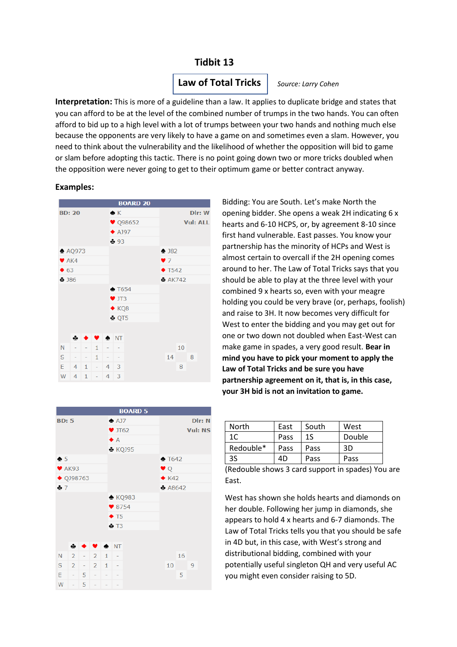# **Tidbit 13**

# **Law of Total Tricks**

*Source: Larry Cohen* 

**Interpretation:** This is more of a guideline than a law. It applies to duplicate bridge and states that *Cohen)* you can afford to be at the level of the combined number of trumps in the two hands. You can often afford to bid up to a high level with a lot of trumps between your two hands and nothing much else because the opponents are very likely to have a game on and sometimes even a slam. However, you reed to think about the vulnerability and the likelihood of whether the opposition will bid to game need to think about the vulnerability and the likelihood of whether the opposition will bid to game or slam before adopting this tactic. There is no point going down two or more tricks doubled when the opposition were never going to get to their optimum game or better contract anyway.

#### **Examples:**



Bidding: You are South. Let's make North the opening bidder. She opens a weak 2H indicating 6 x hearts and 6-10 HCPS, or, by agreement 8-10 since first hand vulnerable. East passes. You know your partnership has the minority of HCPs and West is almost certain to overcall if the 2H opening comes around to her. The Law of Total Tricks says that you should be able to play at the three level with your combined 9 x hearts so, even with your meagre holding you could be very brave (or, perhaps, foolish) and raise to 3H. It now becomes very difficult for West to enter the bidding and you may get out for one or two down not doubled when East-West can make game in spades, a very good result. **Bear in mind you have to pick your moment to apply the Law of Total Tricks and be sure you have partnership agreement on it, that is, in this case, your 3H bid is not an invitation to game.**

|                            |  |       |                |                 |                 | <b>BOARD 5</b> |                  |               |  |  |
|----------------------------|--|-------|----------------|-----------------|-----------------|----------------|------------------|---------------|--|--|
| <b>BD: 5</b>               |  |       |                | $\triangle$ AJ7 |                 |                | DIr: N           |               |  |  |
|                            |  |       |                |                 | $\times$ JT62   |                | <b>Vul: NS</b>   |               |  |  |
|                            |  |       |                |                 | $\bullet$ A     |                |                  |               |  |  |
|                            |  |       |                |                 |                 | <b>♣ KQJ95</b> |                  |               |  |  |
| $\bullet$ 5                |  |       |                |                 |                 |                | $\triangle$ T642 |               |  |  |
| $\blacktriangleright$ AK93 |  |       |                |                 |                 |                | V Q              |               |  |  |
| $\blacklozenge$ QJ98763    |  |       |                |                 | $\triangle$ K42 |                |                  |               |  |  |
| $+7$                       |  |       |                |                 |                 |                | 48642            |               |  |  |
|                            |  |       |                |                 | <b>▲ KQ983</b>  |                |                  |               |  |  |
|                            |  |       |                |                 | $\bullet$ 8754  |                |                  |               |  |  |
|                            |  |       |                |                 | $+T5$           |                |                  |               |  |  |
|                            |  |       |                |                 | $\clubsuit$ T3  |                |                  |               |  |  |
|                            |  |       |                |                 |                 |                |                  |               |  |  |
|                            |  |       | ⊕ ◆ ♥ ◆ NT     |                 |                 |                |                  |               |  |  |
| N                          |  |       | $2 - 21 -$     |                 |                 |                |                  | 16            |  |  |
|                            |  |       | $S$ 2 - 2 1    |                 | ÷,              |                |                  | $10 \qquad 9$ |  |  |
| E.                         |  | $-15$ | $\overline{a}$ | L,              |                 |                |                  | 5             |  |  |
| W                          |  | -5    |                |                 |                 |                |                  |               |  |  |

| North     | East | South | West   |  |
|-----------|------|-------|--------|--|
| 1C        | Pass | 1S    | Double |  |
| Redouble* | Pass | Pass  | 3D     |  |
| 3S        | 4D.  | Pass  | Pass   |  |

(Redouble shows 3 card support in spades) You are East.

West has shown she holds hearts and diamonds on her double. Following her jump in diamonds, she appears to hold 4 x hearts and 6-7 diamonds. The Law of Total Tricks tells you that you should be safe in 4D but, in this case, with West's strong and distributional bidding, combined with your potentially useful singleton QH and very useful AC you might even consider raising to 5D.